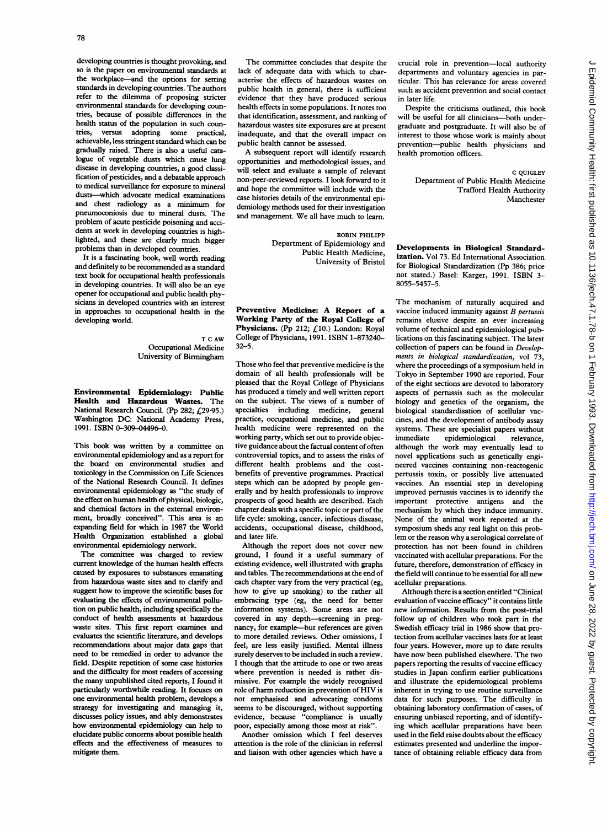developing countries is thought provoking, and so is the paper on environmental standards at the workplace-and the options for setting standards in developing countries. The authors refer to the dilemma of proposing stricter environmental standards for developing countries, because of possible differences in the health status of the population in such coun-<br>tries, versus adopting some practical. versus adopting some practical, achievable, less stringent standard which can be gradually raised. There is also a useful catalogue of vegetable dusts which cause lung disease in developing countries, a good classification of pesticides, and a debatable approach to medical surveillance for exposure to mineral dusts-which advocate medical examinations and chest radiology as a minimum for pneumoconiosis due to mineral dusts. The problem of acute pesticide poisoning and accidents at work in developing countries is highlighted, and these are clearly much bigger problems than in developed countries.

It is a fascinating book, well worth reading and definitely to be recommended as a standard text book for occupational health professionals in developing countries. It will also be an eye opener for occupational and public health physicians in developed countries with an interest in approaches to occupational health in the developing world.

> T C AW Occupational Medicine University of Birmingham

Environmental Epidemiology: Public Health and Hazardous Wastes. The National Research Council. (Pp 282; £29 95.) Washington DC: National Academy Press, 1991. ISBN 0-309-04496-0.

This book was written by a committee on environmental epidemiology and as a report for the board on environmental studies and toxicology in the Commission on Life Sciences of the National Research Council. It defines environmental epidemiology as "the study of the effect on human health of physical, biologic, and chemical factors in the external environment, broadly conceived". This area is an expanding field for which in 1987 the World Health Organization established a global environmental epidemiology network.

The committee was charged to review current knowledge of the human health effects caused by exposures to substances emanating from hazardous waste sites and to clarify and suggest how to improve the scientific bases for evaluating the effects of environmental pollution on public health, including specifically the conduct of health assessments at hazardous waste sites. This first report examines and evaluates the scientific literature, and develops recommendations about major data gaps that need to be remedied in order to advance the field. Despite repetition of some case histories and the difficulty for most readers of accessing the many unpublished cited reports, <sup>I</sup> found it particularly worthwhile reading. It focuses on one environmental health problem, develops a strategy for investigating and managing it, discusses policy issues, and ably demonstrates how environmental epidemiology can help to elucidate public concerns about possible health effects and the effectiveness of measures to mitigate them.

The committee concludes that despite the lack of adequate data with which to characterise the effects of hazardous wastes on public health in general, there is sufficient evidence that they have produced serious health effects in some populations. It notes too that identification, assessment, and ranking of hazardous wastes site exposures are at present inadequate, and that the overall impact on public health cannot be assessed.

A subsequent report will identify research opportunities and methodological issues, and will select and evaluate a sample of relevant non-peer-reviewed reports. <sup>I</sup> look forward to it and hope the committee will include with the case histories details of the environmental epidemiology methods used for their investigation and management. We all have much to learn.

ROBIN PHILIPP

Department of Epidemiology and Public Health Medicine, University of Bristol

Preventive Medicine: A Report of <sup>a</sup> Working Party of the Royal College of Physicians. (Pp 212; £10.) London: Royal College of Physicians, 1991. ISBN 1-873240- 32-5.

Those who feel that preventive medicine is the domain of all health professionals will be pleased that the Royal College of Physicians has produced a timely and well written report on the subject. The views of <sup>a</sup> number of specialties including medicine, general practice, occupational medicine, and public health medicine were represented on the working party, which set out to provide objective guidance about the factual content of often controversial topics, and to assess the risks of different health problems and the costbenefits of preventive programmes. Practical steps which can be adopted by people generally and by health professionals to improve prospects of good health are described. Each chapter deals with a specific topic or part of the life cycle: smoking, cancer, infectious disease, accidents, occupational disease, childhood, and later life.

Although the report does not cover new ground, <sup>I</sup> found it a useful summary of existing evidence, well illustrated with graphs and tables. The recommendations at the end of each chapter vary from the very practical (eg, how to give up smoking) to the rather all embracing type (eg, the need for better information systems). Some areas are not covered in any depth-screening in pregnancy, for example-but references are given to more detailed reviews. Other omissions, <sup>I</sup> feel, are less easily justified. Mental illness surely deserves to be included in such a review. <sup>I</sup> though that the attitude to one or two areas where prevention is needed is rather dismissive. For example the widely recognised role of harm reduction in prevention of HIV is not emphasised and advocating condoms seems to be discouraged, without supporting evidence, because "compliance is usually poor, especially among those most at risk".

Another omission which <sup>I</sup> feel deserves attention is the role of the clinician in referral and liaison with other agencies which have a crucial role in prevention-local authority departments and voluntary agencies in particular. This has relevance for areas covered such as accident prevention and social contact in later life.

Despite the criticisms outlined, this book will be useful for all clinicians-both undergraduate and postgraduate. It will also be of interest to those whose work is mainly about prevention-public health physicians and health promotion officers.

> C QUIGLEY Department of Public Health Medicine Trafford Health Authority Manchester

Developments in Biological Standardization. Vol 73. Ed International Association for Biological Standardization (Pp 386; price not stated.) Basel: Karger, 1991. ISBN 3- 8055-5457-5.

The mechanism of naturally acquired and vaccine induced immunity against  $B$  pertussis remains elusive despite an ever increasing volume of technical and epidemiological publications on this fascinating subject. The latest collection of papers can be found in Developments in biological standardization, vol 73, where the proceedings of <sup>a</sup> symposium held in Tokyo in September 1990 are reported. Four of the eight sections are devoted to laboratory aspects of pertussis such as the molecular biology and genetics of the organism, the biological standardisation of acellular vaccines, and the development of antibody assay systems. These are specialist papers without<br>immediate epidemiological relevance. epidemiological although the work may eventually lead to novel applications such as genetically engineered vaccines containing non-reactogenic pertussis toxin, or possibly live attenuated vaccines. An essential step in developing improved pertussis vaccines is to identify the important protective antigens and the mechanism by which they induce immunity. None of the animal work reported at the symposium sheds any real light on this problem or the reason why <sup>a</sup> serological correlate of protection has not been found in children vaccinated with acellular preparations. For the future, therefore, demonstration of efficacy in the field will continue to be essential for all new acellular preparations.

Although there is a section entitled "Clinical evaluation of vaccine efficacy" it contains little new information. Results from the post-trial follow up of children who took part in the Swedish efficacy trial in 1986 show that protection from acellular vaccines lasts for at least four years. However, more up to date results have now been published elsewhere. The two papers reporting the results of vaccine efficacy studies in Japan confirm earlier publications and illustrate the epidemiological problems inherent in trying to use routine surveillance data for such purposes. The difficulty in obtaining laboratory confirmation of cases, of ensuring unbiased reporting, and of identifying which acellular preparations have been used in the field raise doubts about the efficacy estimates presented and underline the importance of obtaining reliable efficacy data from